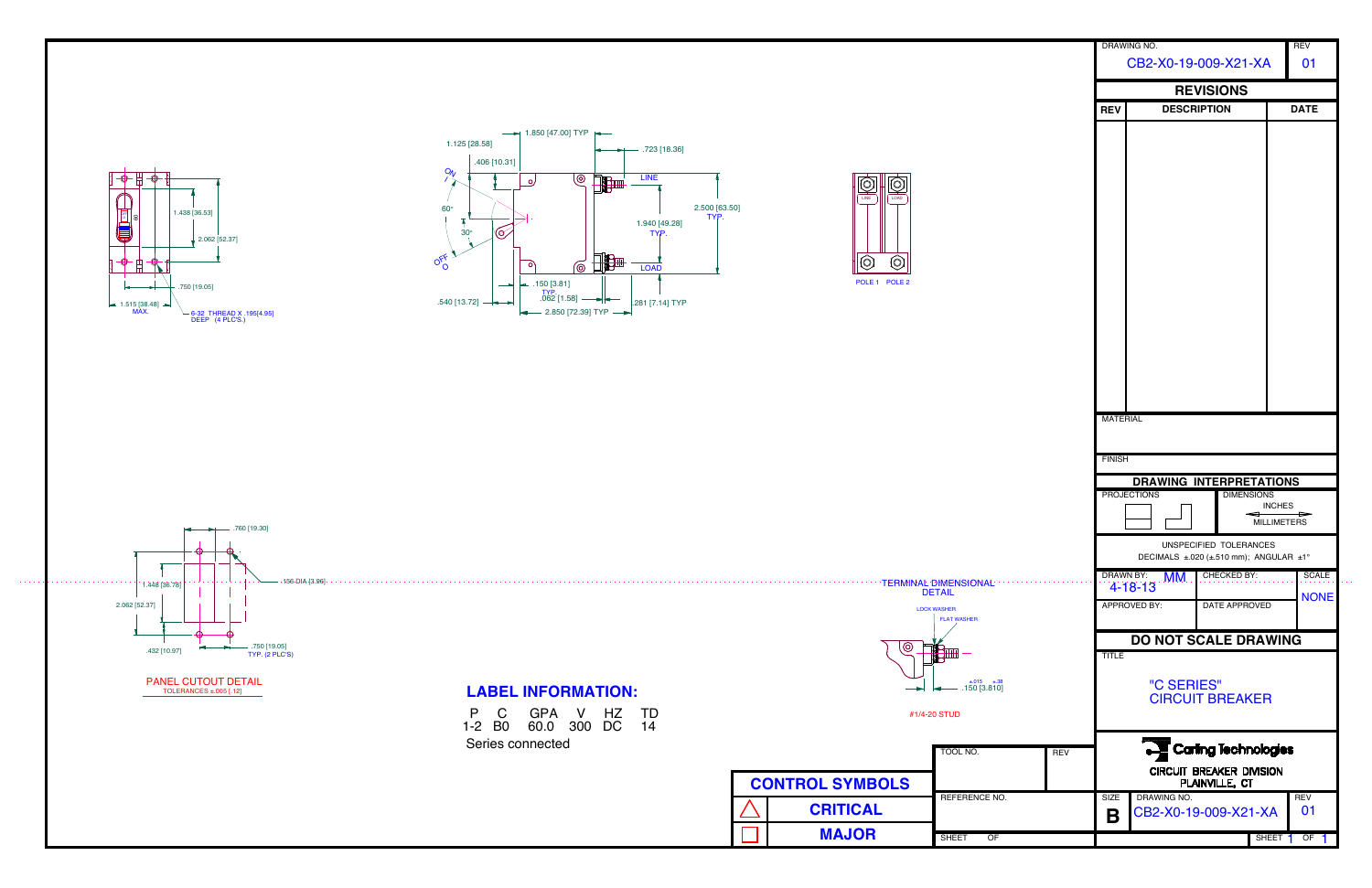

 $\sim 100$  km  $^{-2}$ 





|            |                                                                                            | DRAWING NO.<br>CB2-X0-19-009-X21-XA  |                    |                    | <b>REV</b><br>01 |  |  |  |  |  |
|------------|--------------------------------------------------------------------------------------------|--------------------------------------|--------------------|--------------------|------------------|--|--|--|--|--|
|            | <b>REVISIONS</b>                                                                           |                                      |                    |                    |                  |  |  |  |  |  |
|            | <b>REV</b>                                                                                 | <b>DESCRIPTION</b>                   |                    | <b>DATE</b>        |                  |  |  |  |  |  |
|            |                                                                                            |                                      |                    |                    |                  |  |  |  |  |  |
|            |                                                                                            |                                      |                    |                    |                  |  |  |  |  |  |
|            |                                                                                            |                                      |                    |                    |                  |  |  |  |  |  |
|            |                                                                                            |                                      |                    |                    |                  |  |  |  |  |  |
|            |                                                                                            |                                      |                    |                    |                  |  |  |  |  |  |
|            |                                                                                            |                                      |                    |                    |                  |  |  |  |  |  |
|            | <b>MATERIAL</b>                                                                            |                                      |                    |                    |                  |  |  |  |  |  |
|            |                                                                                            |                                      |                    |                    |                  |  |  |  |  |  |
|            | <b>FINISH</b>                                                                              |                                      |                    |                    |                  |  |  |  |  |  |
|            | <b>DRAWING INTERPRETATIONS</b><br><b>PROJECTIONS</b><br><b>DIMENSIONS</b><br><b>INCHES</b> |                                      |                    |                    |                  |  |  |  |  |  |
|            | <b>MILLIMETERS</b><br>UNSPECIFIED TOLERANCES<br>DECIMALS ±.020 (±.510 mm); ANGULAR ±1°     |                                      |                    |                    |                  |  |  |  |  |  |
|            | <b>DRAWN BY:</b>                                                                           | MM.                                  | <b>CHECKED BY:</b> |                    | <b>SCALE</b>     |  |  |  |  |  |
|            |                                                                                            | $4 - 18 - 13$<br><b>APPROVED BY:</b> | DATE APPROVED      |                    | <b>NONE</b>      |  |  |  |  |  |
|            |                                                                                            |                                      |                    |                    |                  |  |  |  |  |  |
|            |                                                                                            | <b>DO NOT SCALE DRAWING</b>          |                    |                    |                  |  |  |  |  |  |
|            | <b>TITLE</b><br>"C SERIES"<br><b>CIRCUIT BREAKER</b>                                       |                                      |                    |                    |                  |  |  |  |  |  |
|            |                                                                                            |                                      |                    |                    |                  |  |  |  |  |  |
| <b>REV</b> | <b>Carling Technologies</b><br><b>CIRCUIT BREAKER DIVISION</b><br>PLAINVILLE, CT           |                                      |                    |                    |                  |  |  |  |  |  |
|            | DRAWING NO.<br><b>SIZE</b><br><b>REV</b><br>01<br>CB2-X0-19-009-X21-XA<br>Β                |                                      |                    |                    |                  |  |  |  |  |  |
|            |                                                                                            |                                      |                    | SHEET <sub>1</sub> | OF               |  |  |  |  |  |